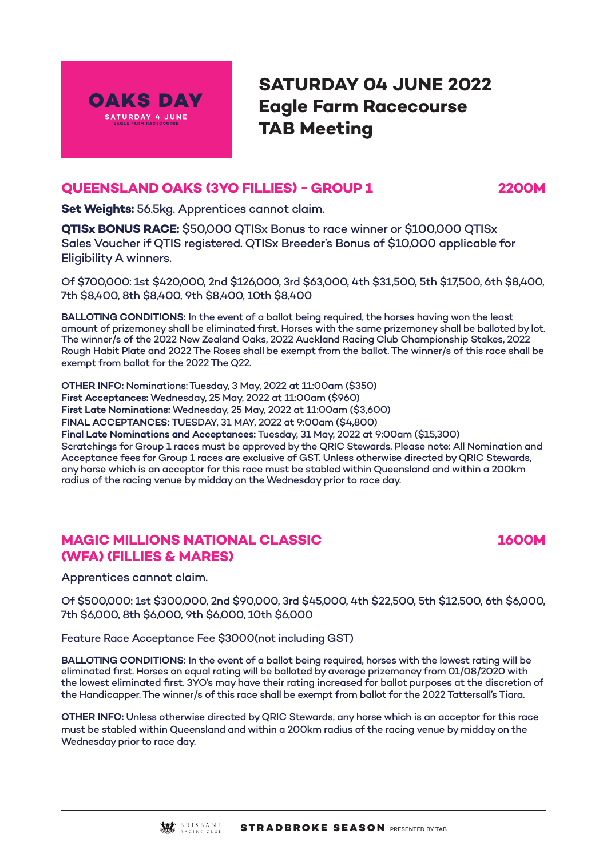

# **SATURDAY 04 JUNE 2022 Eagle Farm Racecourse TAB Meeting**

# **QUEENSLAND OAKS (3YO FILLIES) - GROUP 1 2200M**

**Set Weights:** 56.5kg. Apprentices cannot claim.

**QTISx BONUS RACE:** \$50,000 QTISx Bonus to race winner or \$100,000 QTISx Sales Voucher if QTIS registered. QTISx Breeder's Bonus of \$10,000 applicable for Eligibility A winners.

Of \$700,000: 1st \$420,000, 2nd \$126,000, 3rd \$63,000, 4th \$31,500, 5th \$17,500, 6th \$8,400, 7th \$8,400, 8th \$8,400, 9th \$8,400, 10th \$8,400

**BALLOTING CONDITIONS:** In the event of a ballot being required, the horses having won the least amount of prizemoney shall be eliminated first. Horses with the same prizemoney shall be balloted by lot. The winner/s of the 2022 New Zealand Oaks, 2022 Auckland Racing Club Championship Stakes, 2022 Rough Habit Plate and 2022 The Roses shall be exempt from the ballot. The winner/s of this race shall be exempt from ballot for the 2022 The Q22.

**OTHER INFO:** Nominations: Tuesday, 3 May, 2022 at 11:00am (\$350) **First Acceptances:** Wednesday, 25 May, 2022 at 11:00am (\$960) **First Late Nominations:** Wednesday, 25 May, 2022 at 11:00am (\$3,600) **FINAL ACCEPTANCES:** TUESDAY, 31 MAY, 2022 at 9:00am (\$4,800) **Final Late Nominations and Acceptances:** Tuesday, 31 May, 2022 at 9:00am (\$15,300) Scratchings for Group 1 races must be approved by the QRIC Stewards. Please note: All Nomination and Acceptance fees for Group 1 races are exclusive of GST. Unless otherwise directed by QRIC Stewards, any horse which is an acceptor for this race must be stabled within Queensland and within a 200km radius of the racing venue by midday on the Wednesday prior to race day.

# **MAGIC MILLIONS NATIONAL CLASSIC 1600M (WFA) (FILLIES & MARES)**

Apprentices cannot claim.

Of \$500,000: 1st \$300,000, 2nd \$90,000, 3rd \$45,000, 4th \$22,500, 5th \$12,500, 6th \$6,000, 7th \$6,000, 8th \$6,000, 9th \$6,000, 10th \$6,000

Feature Race Acceptance Fee \$3000(not including GST)

**BALLOTING CONDITIONS:** In the event of a ballot being required, horses with the lowest rating will be eliminated first. Horses on equal rating will be balloted by average prizemoney from 01/08/2020 with the lowest eliminated first. 3YO's may have their rating increased for ballot purposes at the discretion of the Handicapper. The winner/s of this race shall be exempt from ballot for the 2022 Tattersall's Tiara.

**OTHER INFO:** Unless otherwise directed by QRIC Stewards, any horse which is an acceptor for this race must be stabled within Queensland and within a 200km radius of the racing venue by midday on the Wednesday prior to race day.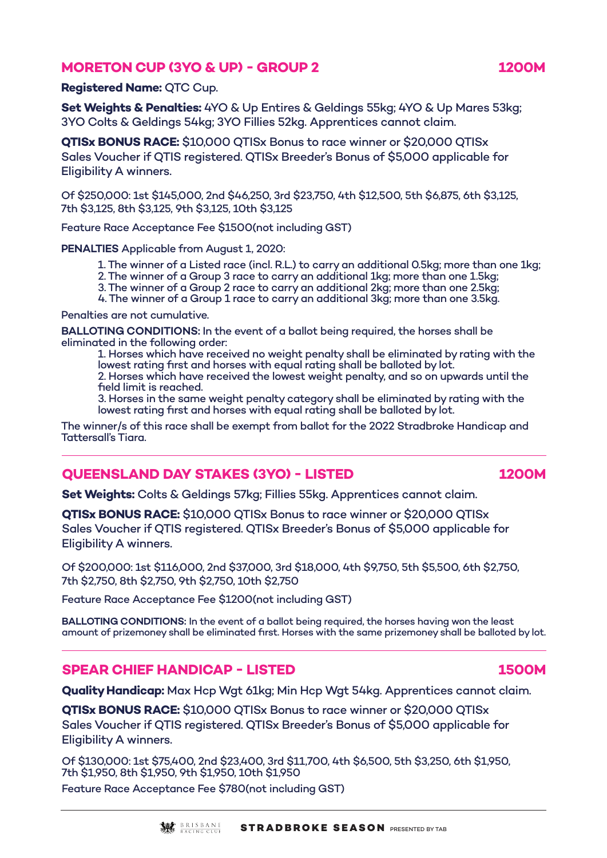### **MORETON CUP (3YO & UP) - GROUP 2 1200M**

### **Registered Name:** QTC Cup.

**Set Weights & Penalties:** 4YO & Up Entires & Geldings 55kg; 4YO & Up Mares 53kg; 3YO Colts & Geldings 54kg; 3YO Fillies 52kg. Apprentices cannot claim.

**QTISx BONUS RACE:** \$10,000 QTISx Bonus to race winner or \$20,000 QTISx Sales Voucher if QTIS registered. QTISx Breeder's Bonus of \$5,000 applicable for Eligibility A winners.

Of \$250,000: 1st \$145,000, 2nd \$46,250, 3rd \$23,750, 4th \$12,500, 5th \$6,875, 6th \$3,125, 7th \$3,125, 8th \$3,125, 9th \$3,125, 10th \$3,125

Feature Race Acceptance Fee \$1500(not including GST)

**PENALTIES** Applicable from August 1, 2020:

- 1. The winner of a Listed race (incl. R.L.) to carry an additional 0.5kg; more than one 1kg;
- 2. The winner of a Group 3 race to carry an additional 1kg; more than one 1.5kg;
- 3. The winner of a Group 2 race to carry an additional 2kg; more than one 2.5kg;
- 4. The winner of a Group 1 race to carry an additional 3kg; more than one 3.5kg.

Penalties are not cumulative.

**BALLOTING CONDITIONS:** In the event of a ballot being required, the horses shall be eliminated in the following order:

1. Horses which have received no weight penalty shall be eliminated by rating with the lowest rating first and horses with equal rating shall be balloted by lot.

2. Horses which have received the lowest weight penalty, and so on upwards until the field limit is reached.

3. Horses in the same weight penalty category shall be eliminated by rating with the lowest rating first and horses with equal rating shall be balloted by lot.

The winner/s of this race shall be exempt from ballot for the 2022 Stradbroke Handicap and Tattersall's Tiara.

# **QUEENSLAND DAY STAKES (3YO) - LISTED 1200M**

**Set Weights:** Colts & Geldings 57kg; Fillies 55kg. Apprentices cannot claim.

**QTISx BONUS RACE:** \$10,000 QTISx Bonus to race winner or \$20,000 QTISx Sales Voucher if QTIS registered. QTISx Breeder's Bonus of \$5,000 applicable for Eligibility A winners.

Of \$200,000: 1st \$116,000, 2nd \$37,000, 3rd \$18,000, 4th \$9,750, 5th \$5,500, 6th \$2,750, 7th \$2,750, 8th \$2,750, 9th \$2,750, 10th \$2,750

Feature Race Acceptance Fee \$1200(not including GST)

**BALLOTING CONDITIONS:** In the event of a ballot being required, the horses having won the least amount of prizemoney shall be eliminated first. Horses with the same prizemoney shall be balloted by lot.

### **SPEAR CHIEF HANDICAP - LISTED 1500M**

**Quality Handicap:** Max Hcp Wgt 61kg; Min Hcp Wgt 54kg. Apprentices cannot claim.

**QTISx BONUS RACE:** \$10,000 QTISx Bonus to race winner or \$20,000 QTISx Sales Voucher if QTIS registered. QTISx Breeder's Bonus of \$5,000 applicable for Eligibility A winners.

Of \$130,000: 1st \$75,400, 2nd \$23,400, 3rd \$11,700, 4th \$6,500, 5th \$3,250, 6th \$1,950, 7th \$1,950, 8th \$1,950, 9th \$1,950, 10th \$1,950

Feature Race Acceptance Fee \$780(not including GST)